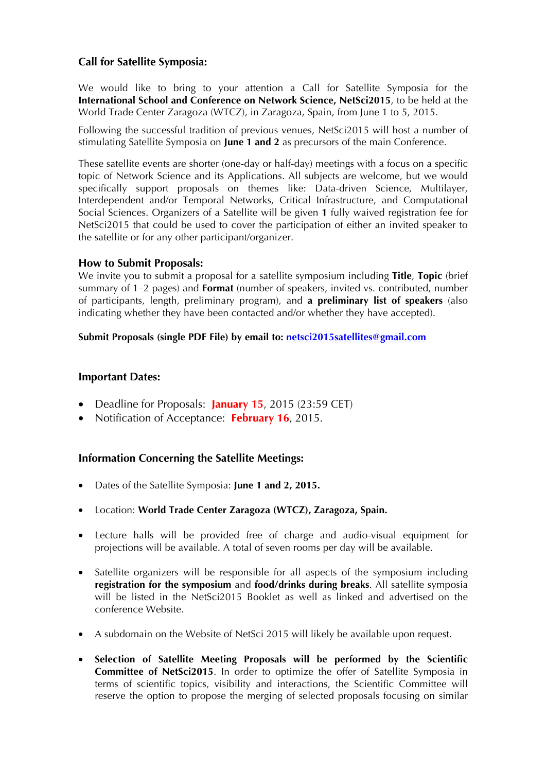# **Call for Satellite Symposia:**

We would like to bring to your attention a Call for Satellite Symposia for the **International School and Conference on Network Science, NetSci2015**, to be held at the World Trade Center Zaragoza (WTCZ), in Zaragoza, Spain, from June 1 to 5, 2015.

Following the successful tradition of previous venues, NetSci2015 will host a number of stimulating Satellite Symposia on **June 1 and 2** as precursors of the main Conference.

These satellite events are shorter (one-day or half-day) meetings with a focus on a specific topic of Network Science and its Applications. All subjects are welcome, but we would specifically support proposals on themes like: Data-driven Science, Multilayer, Interdependent and/or Temporal Networks, Critical Infrastructure, and Computational Social Sciences. Organizers of a Satellite will be given **1** fully waived registration fee for NetSci2015 that could be used to cover the participation of either an invited speaker to the satellite or for any other participant/organizer.

## **How to Submit Proposals:**

We invite you to submit a proposal for a satellite symposium including **Title**, **Topic** (brief summary of 1–2 pages) and **Format** (number of speakers, invited vs. contributed, number of participants, length, preliminary program), and **a preliminary list of speakers** (also indicating whether they have been contacted and/or whether they have accepted).

#### **Submit Proposals (single PDF File) by email to: netsci2015satellites@gmail.com**

#### **Important Dates:**

- Deadline for Proposals: **January 15**, 2015 (23:59 CET)
- Notification of Acceptance: **February 16**, 2015.

## **Information Concerning the Satellite Meetings:**

- Dates of the Satellite Symposia: **June 1 and 2, 2015.**
- Location: **World Trade Center Zaragoza (WTCZ), Zaragoza, Spain.**
- Lecture halls will be provided free of charge and audio-visual equipment for projections will be available. A total of seven rooms per day will be available.
- Satellite organizers will be responsible for all aspects of the symposium including **registration for the symposium** and **food/drinks during breaks**. All satellite symposia will be listed in the NetSci2015 Booklet as well as linked and advertised on the conference Website.
- A subdomain on the Website of NetSci 2015 will likely be available upon request.
- **Selection of Satellite Meeting Proposals will be performed by the Scientific Committee of NetSci2015**. In order to optimize the offer of Satellite Symposia in terms of scientific topics, visibility and interactions, the Scientific Committee will reserve the option to propose the merging of selected proposals focusing on similar